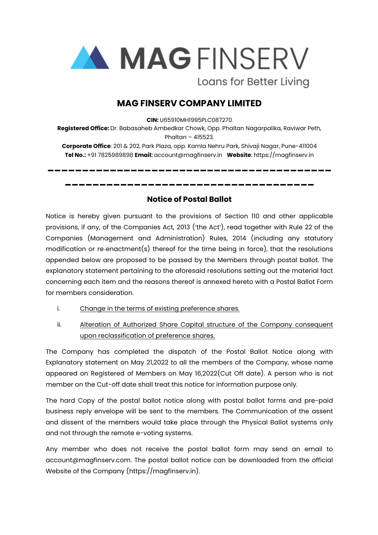

Loans for Better Living

## **MAG FINSERV COMPANY LIMITED**

**CIN:** U65910MH1995PLC087270

**Registered Office:** Dr. Babasaheb Ambedkar Chowk, Opp. Phaltan Nagarpalika, Raviwar Peth, Phaltan – 415523.

**Corporate Office**: 201 & 202, Park Plaza, opp. Kamla Nehru Park, Shivaji Nagar, Pune-411004 **Tel No.:** +91 7825989898 **Email:** account@magfinserv.in **Website**: https://magfinserv.in

**\_\_\_\_\_\_\_\_\_\_\_\_\_\_\_\_\_\_\_\_\_\_\_\_\_\_\_\_\_\_\_\_\_\_\_\_\_\_\_\_\_**

**\_\_\_\_\_\_\_\_\_\_\_\_\_\_\_\_\_\_\_\_\_\_\_\_\_\_\_\_\_\_\_\_\_\_\_\_**

## **Notice of Postal Ballot**

Notice is hereby given pursuant to the provisions of Section 110 and other applicable provisions, if any, of the Companies Act, 2013 ('the Act'), read together with Rule 22 of the Companies (Management and Administration) Rules, 2014 (including any statutory modification or re-enactment(s) thereof for the time being in force), that the resolutions appended below are proposed to be passed by the Members through postal ballot. The explanatory statement pertaining to the aforesaid resolutions setting out the material fact concerning each item and the reasons thereof is annexed hereto with a Postal Ballot Form for members consideration.

- i. Change in the terms of existing preference shares.
- ii. Alteration of Authorized Share Capital structure of the Company consequent upon reclassification of preference shares.

The Company has completed the dispatch of the Postal Ballot Notice along with Explanatory statement on May 21,2022 to all the members of the Company, whose name appeared on Registered of Members on May 16,2022(Cut Off date). A person who is not member on the Cut-off date shall treat this notice for information purpose only.

The hard Copy of the postal ballot notice along with postal ballot forms and pre-paid business reply envelope will be sent to the members. The Communication of the assent and dissent of the members would take place through the Physical Ballot systems only and not through the remote e-voting systems.

Any member who does not receive the postal ballot form may send an email to account@magfinserv.com. The postal ballot notice can be downloaded from the official Website of the Company [\(https://magfinserv.in](https://magfinserv.in)).